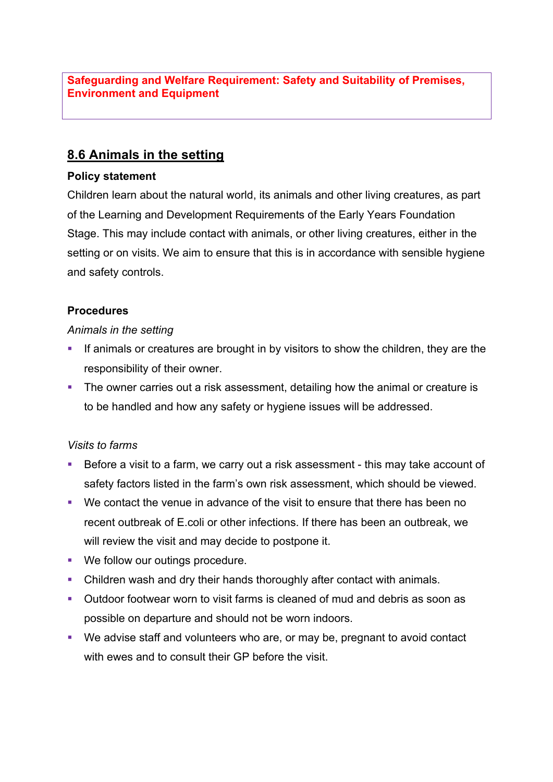**Safeguarding and Welfare Requirement: Safety and Suitability of Premises, Environment and Equipment**

## **8.6 Animals in the setting**

#### **Policy statement**

Children learn about the natural world, its animals and other living creatures, as part of the Learning and Development Requirements of the Early Years Foundation Stage. This may include contact with animals, or other living creatures, either in the setting or on visits. We aim to ensure that this is in accordance with sensible hygiene and safety controls.

### **Procedures**

### *Animals in the setting*

- **•** If animals or creatures are brought in by visitors to show the children, they are the responsibility of their owner.
- The owner carries out a risk assessment, detailing how the animal or creature is to be handled and how any safety or hygiene issues will be addressed.

### *Visits to farms*

- Before a visit to a farm, we carry out a risk assessment this may take account of safety factors listed in the farm's own risk assessment, which should be viewed.
- § We contact the venue in advance of the visit to ensure that there has been no recent outbreak of E.coli or other infections. If there has been an outbreak, we will review the visit and may decide to postpone it.
- We follow our outings procedure.
- Children wash and dry their hands thoroughly after contact with animals.
- § Outdoor footwear worn to visit farms is cleaned of mud and debris as soon as possible on departure and should not be worn indoors.
- We advise staff and volunteers who are, or may be, pregnant to avoid contact with ewes and to consult their GP before the visit.